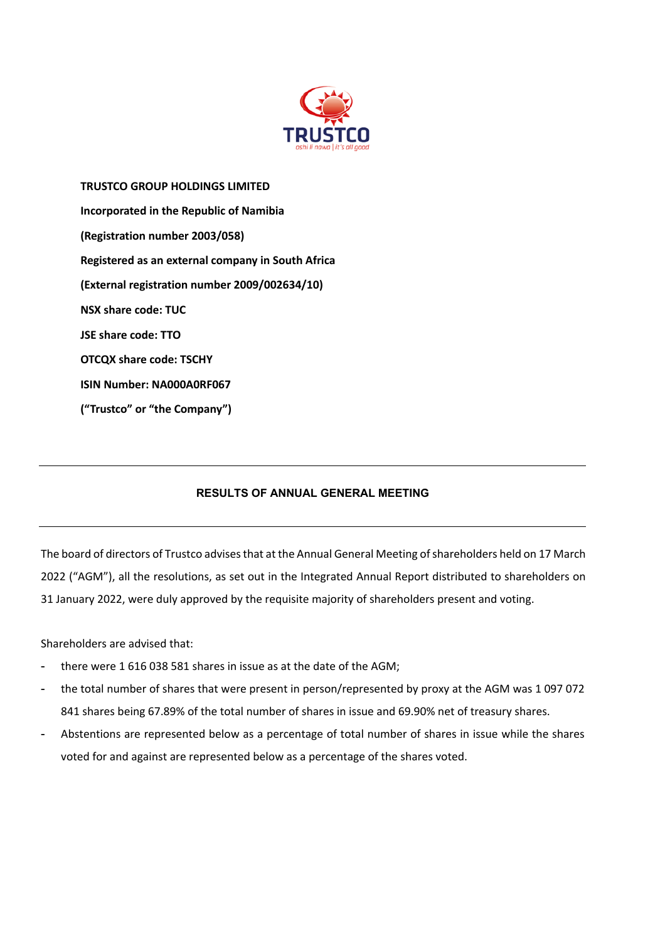

**TRUSTCO GROUP HOLDINGS LIMITED Incorporated in the Republic of Namibia (Registration number 2003/058) Registered as an external company in South Africa (External registration number 2009/002634/10) NSX share code: TUC JSE share code: TTO OTCQX share code: TSCHY ISIN Number: NA000A0RF067 ("Trustco" or "the Company")**

## **RESULTS OF ANNUAL GENERAL MEETING**

The board of directors of Trustco advises that at the Annual General Meeting of shareholders held on 17 March 2022 ("AGM"), all the resolutions, as set out in the Integrated Annual Report distributed to shareholders on 31 January 2022, were duly approved by the requisite majority of shareholders present and voting.

Shareholders are advised that:

- there were 1 616 038 581 shares in issue as at the date of the AGM;
- the total number of shares that were present in person/represented by proxy at the AGM was 1 097 072 841 shares being 67.89% of the total number of shares in issue and 69.90% net of treasury shares.
- Abstentions are represented below as a percentage of total number of shares in issue while the shares voted for and against are represented below as a percentage of the shares voted.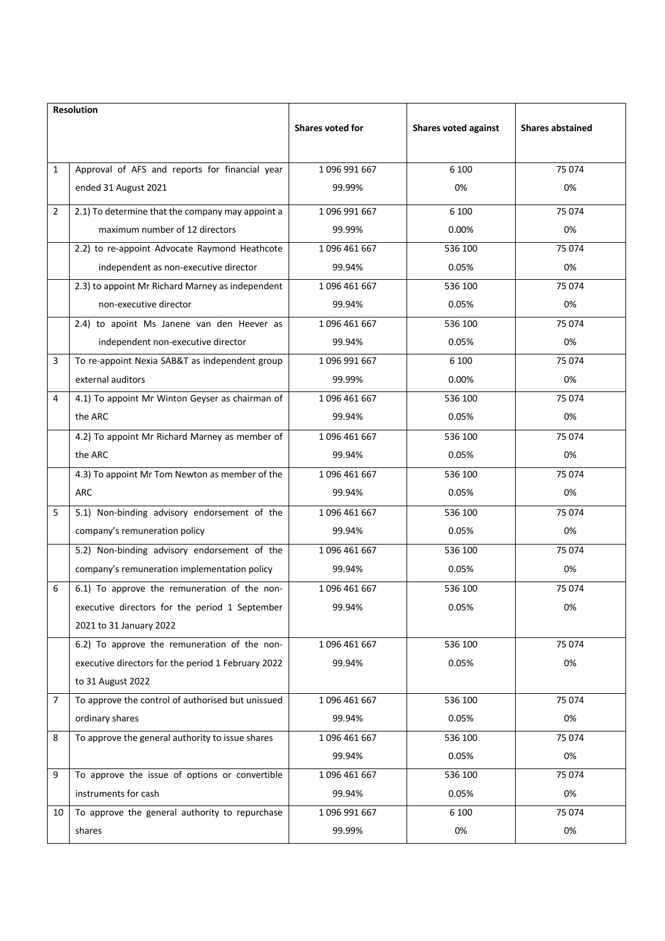| Resolution     |                                                    |                  |                      |                         |
|----------------|----------------------------------------------------|------------------|----------------------|-------------------------|
|                |                                                    | Shares voted for | Shares voted against | <b>Shares abstained</b> |
|                |                                                    |                  |                      |                         |
| $\mathbf{1}$   | Approval of AFS and reports for financial year     | 1096 991 667     | 6 100                | 75 074                  |
|                | ended 31 August 2021                               | 99.99%           | 0%                   | 0%                      |
| $\overline{2}$ | 2.1) To determine that the company may appoint a   | 1096 991 667     | 6 100                | 75 074                  |
|                | maximum number of 12 directors                     | 99.99%           | 0.00%                | 0%                      |
|                | 2.2) to re-appoint Advocate Raymond Heathcote      | 1096 461 667     | 536 100              | 75 074                  |
|                | independent as non-executive director              | 99.94%           | 0.05%                | 0%                      |
|                | 2.3) to appoint Mr Richard Marney as independent   | 1096 461 667     | 536 100              | 75 074                  |
|                | non-executive director                             | 99.94%           | 0.05%                | 0%                      |
|                | 2.4) to apoint Ms Janene van den Heever as         | 1096 461 667     | 536 100              | 75 074                  |
|                | independent non-executive director                 | 99.94%           | 0.05%                | 0%                      |
| 3              | To re-appoint Nexia SAB&T as independent group     | 1096 991 667     | 6 100                | 75 074                  |
|                | external auditors                                  | 99.99%           | 0.00%                | 0%                      |
| 4              | 4.1) To appoint Mr Winton Geyser as chairman of    | 1096 461 667     | 536 100              | 75 074                  |
|                | the ARC                                            | 99.94%           | 0.05%                | 0%                      |
|                | 4.2) To appoint Mr Richard Marney as member of     | 1096 461 667     | 536 100              | 75 074                  |
|                | the ARC                                            | 99.94%           | 0.05%                | 0%                      |
|                | 4.3) To appoint Mr Tom Newton as member of the     | 1096 461 667     | 536 100              | 75 074                  |
|                | ARC                                                | 99.94%           | 0.05%                | 0%                      |
| 5              | 5.1) Non-binding advisory endorsement of the       | 1096 461 667     | 536 100              | 75 074                  |
|                | company's remuneration policy                      | 99.94%           | 0.05%                | 0%                      |
|                | 5.2) Non-binding advisory endorsement of the       | 1096 461 667     | 536 100              | 75 074                  |
|                | company's remuneration implementation policy       | 99.94%           | 0.05%                | 0%                      |
| 6              | 6.1) To approve the remuneration of the non-       | 1096 461 667     | 536 100              | 75 074                  |
|                | executive directors for the period 1 September     | 99.94%           | 0.05%                | 0%                      |
|                | 2021 to 31 January 2022                            |                  |                      |                         |
|                | 6.2) To approve the remuneration of the non-       | 1096 461 667     | 536 100              | 75 074                  |
|                | executive directors for the period 1 February 2022 | 99.94%           | 0.05%                | 0%                      |
|                | to 31 August 2022                                  |                  |                      |                         |
| $\overline{7}$ | To approve the control of authorised but unissued  | 1096 461 667     | 536 100              | 75 074                  |
|                | ordinary shares                                    | 99.94%           | 0.05%                | 0%                      |
| 8              | To approve the general authority to issue shares   | 1096 461 667     | 536 100              | 75 074                  |
|                |                                                    | 99.94%           | 0.05%                | 0%                      |
| 9              | To approve the issue of options or convertible     | 1096 461 667     | 536 100              | 75 074                  |
|                | instruments for cash                               | 99.94%           | 0.05%                | 0%                      |
| 10             | To approve the general authority to repurchase     | 1 096 991 667    | 6 100                | 75 074                  |
|                | shares                                             | 99.99%           | 0%                   | 0%                      |